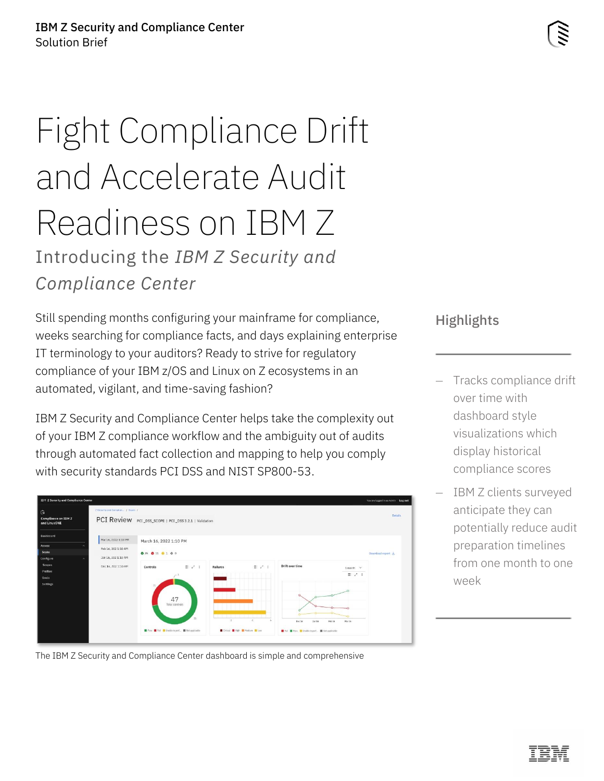# Fight Compliance Drift and Accelerate Audit Readiness on IBM Z Introducing the *IBM Z Security and Compliance Center*

Still spending months configuring your mainframe for compliance, weeks searching for compliance facts, and days explaining enterprise IT terminology to your auditors? Ready to strive for regulatory compliance of your IBM z/OS and Linux on Z ecosystems in an automated, vigilant, and time-saving fashion?

IBM Z Security and Compliance Center helps take the complexity out of your IBM Z compliance workflow and the ambiguity out of audits through automated fact collection and mapping to help you comply with security standards PCI DSS and NIST SP800-53.



**Highlights** 

- Tracks compliance drift over time with dashboard style visualizations which display historical compliance scores
- IBM Z clients surveyed anticipate they can potentially reduce audit preparation timelines from one month to one week

The IBM Z Security and Compliance Center dashboard is simple and comprehensive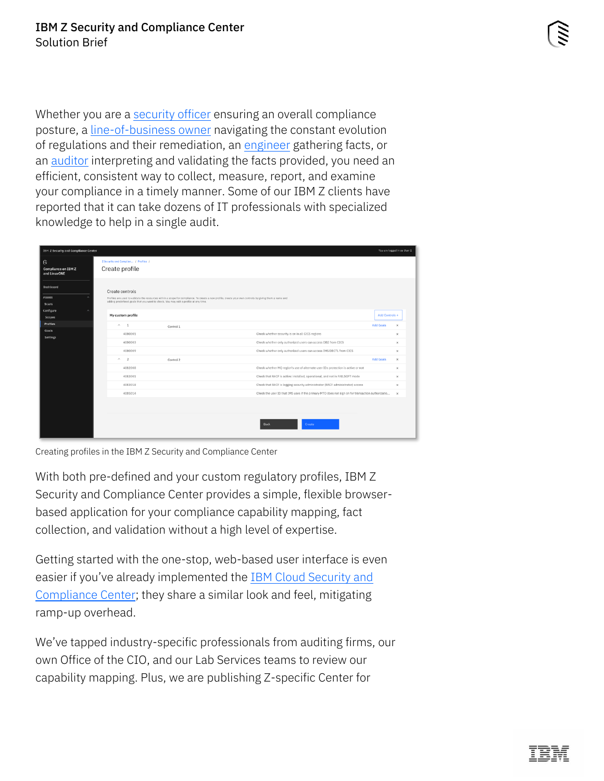Whether you are a [security officer](#page-2-0) ensuring an overall compliance posture, a [line-of-business owner](#page-2-1) navigating the constant evolution of regulations and their remediation, an [engineer](#page-3-0) gathering facts, or an [auditor](#page-4-0) interpreting and validating the facts provided, you need an efficient, consistent way to collect, measure, report, and examine your compliance in a timely manner. Some of our IBM Z clients have reported that it can take dozens of IT professionals with specialized knowledge to help in a single audit.

| <b>IBM Z Security and Compliance Center</b>     |                                                                                                        |                                                                                                                                                        | You are logged in as User 1               |
|-------------------------------------------------|--------------------------------------------------------------------------------------------------------|--------------------------------------------------------------------------------------------------------------------------------------------------------|-------------------------------------------|
| G<br><b>Compliance on IBM Z</b><br>and LinuxONE | Z Security and Complian / Profiles /<br>Create profile                                                 |                                                                                                                                                        |                                           |
| Dashboard<br>Assess<br>Scans<br>Configure       | Create controls<br>adding predefined goals that you want to check. You may edit a profile at any time. | Profiles are used to validate the resources within a scope for compliance. To create a new profile, create your own controls by giving them a name and |                                           |
| Scopes                                          | My custom profile                                                                                      |                                                                                                                                                        | Add Controls +                            |
| Profiles                                        | $\land$ 1                                                                                              | Control 1                                                                                                                                              | <b>Add Goals</b><br>$\boldsymbol{\times}$ |
| Goals<br>Settings                               | 4080001                                                                                                | Check whether security is on in all CICS regions                                                                                                       | $\times$                                  |
|                                                 | 4080003                                                                                                | Check whether only authorized users can access DB2 from CICS                                                                                           | $\times$                                  |
|                                                 | 4080009                                                                                                | Check whether only authorized users can access IMS DBCTL from CICS                                                                                     | $\times$                                  |
|                                                 | $\mathcal{A}_1$<br>$\overline{2}$                                                                      | Control 2                                                                                                                                              | <b>Add Goals</b><br>$\times$              |
|                                                 | 4082008                                                                                                | Check whether MQ region's use of alternate user IDs protection is active or not                                                                        | $\times$                                  |
|                                                 | 4083001                                                                                                | Check that RACF is active: installed, operational, and not in FAILSOFT mode                                                                            | $\times$                                  |
|                                                 | 4083018                                                                                                | Check that RACF is logging security administrator (RACF administrator) access                                                                          | $\times$                                  |
|                                                 | 4085014                                                                                                | Check the user ID that IMS uses if the primary MTO does not sign on for transaction authorizatio                                                       | $\times$                                  |
|                                                 |                                                                                                        |                                                                                                                                                        |                                           |
|                                                 |                                                                                                        |                                                                                                                                                        |                                           |
|                                                 |                                                                                                        | Create<br>Back                                                                                                                                         |                                           |

Creating profiles in the IBM Z Security and Compliance Center

With both pre-defined and your custom regulatory profiles, IBM Z Security and Compliance Center provides a simple, flexible browserbased application for your compliance capability mapping, fact collection, and validation without a high level of expertise.

Getting started with the one-stop, web-based user interface is even easier if you've already implemented the IBM Cloud [Security and](https://www.ibm.com/cloud/security-and-compliance-center)  [Compliance Center;](https://www.ibm.com/cloud/security-and-compliance-center) they share a similar look and feel, mitigating ramp-up overhead.

We've tapped industry-specific professionals from auditing firms, our own Office of the CIO, and our Lab Services teams to review our capability mapping. Plus, we are publishing Z-specific Center for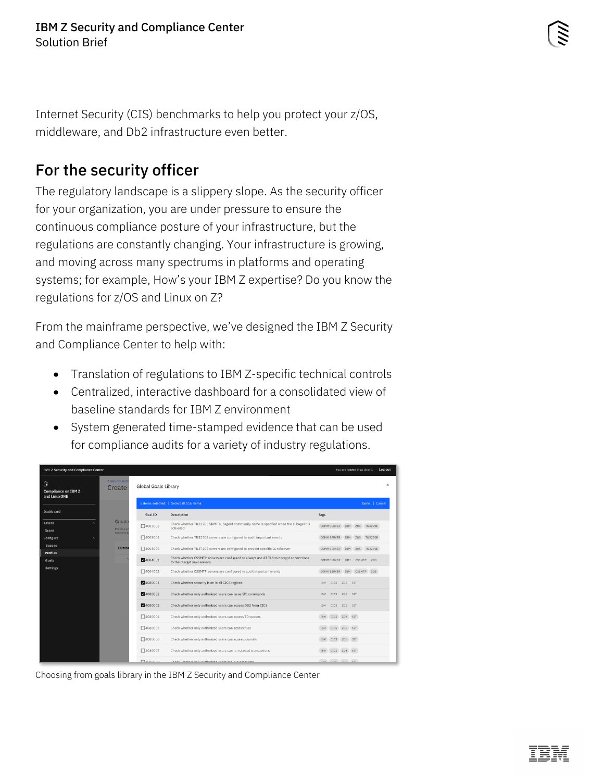Internet Security (CIS) benchmarks to help you protect your z/OS, middleware, and Db2 infrastructure even better.

### <span id="page-2-0"></span>For the security officer

The regulatory landscape is a slippery slope. As the security officer for your organization, you are under pressure to ensure the continuous compliance posture of your infrastructure, but the regulations are constantly changing. Your infrastructure is growing, and moving across many spectrums in platforms and operating systems; for example, How's your IBM Z expertise? Do you know the regulations for z/OS and Linux on Z?

From the mainframe perspective, we've designed the IBM Z Security and Compliance Center to help with:

- Translation of regulations to IBM Z-specific technical controls
- Centralized, interactive dashboard for a consolidated view of baseline standards for IBM Z environment
- System generated time-stamped evidence that can be used for compliance audits for a variety of industry regulations.

<span id="page-2-1"></span>

| <b>IBM Z Security and Compliance Center</b>      |                            |                             |                                                                                                                         | You are logged in as User 1<br>Log out |
|--------------------------------------------------|----------------------------|-----------------------------|-------------------------------------------------------------------------------------------------------------------------|----------------------------------------|
| િત<br><b>Compliance on IBM Z</b><br>and LinuxONE | Z Security and I<br>Create | <b>Global Goals Library</b> | $\times$                                                                                                                |                                        |
|                                                  |                            |                             | 6 items selected   Select all 516 items                                                                                 | Done   Cancel                          |
| Dashboard                                        |                            | Goal ID                     | Description                                                                                                             | Tags                                   |
| Assess<br><b>Scans</b>                           | Create<br>Profiles as      | $\square$ 4003003           | Check whether TN3270E SNMP subagent community name is specfied when the subagent is<br>activated                        | COMM SERVER IBM ZOS TN3270E            |
| Configure                                        | controls b                 | 14003004                    | Check whether TN3270E servers are configured to audit important events                                                  | COMM SERVER IBM ZOS TN3270E            |
| Scopes<br><b>Profiles</b>                        | Custor                     | $\Box$ 4003005              | Check whether TN3720E servers are configured to prevent specific LU takeover                                            | COMM SERVER IBM ZOS TN3270E            |
| Goals                                            |                            | 24004001                    | Check whether CSSMTP servers are configured to always use AT-TLS to encrypt connections<br>to their target mail servers | COMM SERVER IBM CSSMTP ZOS             |
| <b>Settings</b>                                  |                            | □4004002                    | Check whether CSSMTP servers are configured to audit important events                                                   | COMM SERVER IBM CSSMTP ZOS             |
|                                                  |                            | 24080001                    | Check whether security is on in all CICS regions                                                                        | CICS ZOS SIT<br>IBM                    |
|                                                  |                            | 4080002                     | Check whether only authorized users can issue SPI commands                                                              | CICS ZOS SIT<br>IBM                    |
|                                                  |                            | 24080003                    | Check whether only authorized users can access DB2 from CICS                                                            | IBM CICS ZOS SIT                       |
|                                                  |                            | □4080004                    | Check whether only authorized users can access TD queues                                                                | CICS ZOS SIT<br><b>IBM</b>             |
|                                                  |                            | □4080005                    | Check whether only authorized users can access files                                                                    | CICS ZOS SIT<br><b>IBM</b>             |
|                                                  |                            | □4080006                    | Check whether only authorized users can access journals                                                                 | IBM CICS ZOS SIT                       |
|                                                  |                            | □4080007                    | Check whether only authorized users can run started transactions                                                        | IBM CICS ZOS SIT                       |
|                                                  |                            | <b>FLANROON</b>             | Check whether only authorized users can run programs.                                                                   | TRM CTCS 70S STT                       |

Choosing from goals library in the IBM Z Security and Compliance Center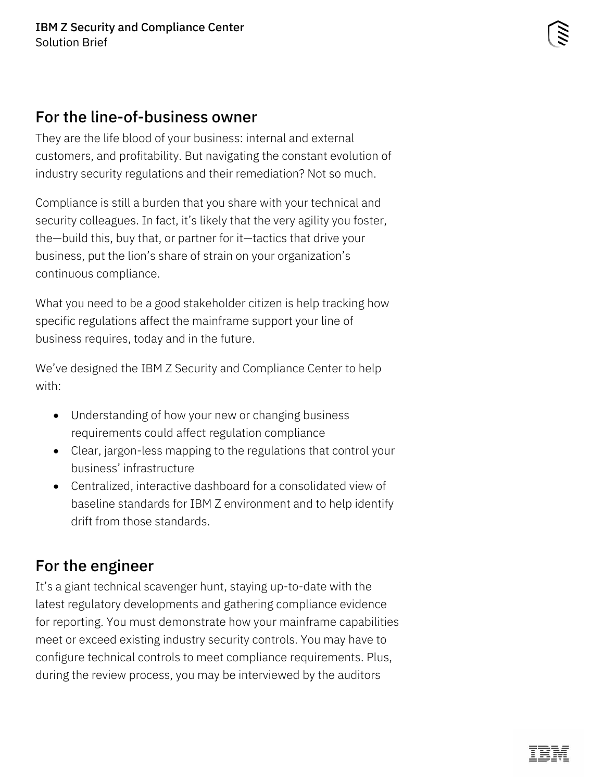#### For the line-of-business owner

They are the life blood of your business: internal and external customers, and profitability. But navigating the constant evolution of industry security regulations and their remediation? Not so much.

Compliance is still a burden that you share with your technical and security colleagues. In fact, it's likely that the very agility you foster, the—build this, buy that, or partner for it—tactics that drive your business, put the lion's share of strain on your organization's continuous compliance.

What you need to be a good stakeholder citizen is help tracking how specific regulations affect the mainframe support your line of business requires, today and in the future.

We've designed the IBM Z Security and Compliance Center to help with:

- Understanding of how your new or changing business requirements could affect regulation compliance
- Clear, jargon-less mapping to the regulations that control your business' infrastructure
- Centralized, interactive dashboard for a consolidated view of baseline standards for IBM Z environment and to help identify drift from those standards.

## <span id="page-3-0"></span>For the engineer

It's a giant technical scavenger hunt, staying up-to-date with the latest regulatory developments and gathering compliance evidence for reporting. You must demonstrate how your mainframe capabilities meet or exceed existing industry security controls. You may have to configure technical controls to meet compliance requirements. Plus, during the review process, you may be interviewed by the auditors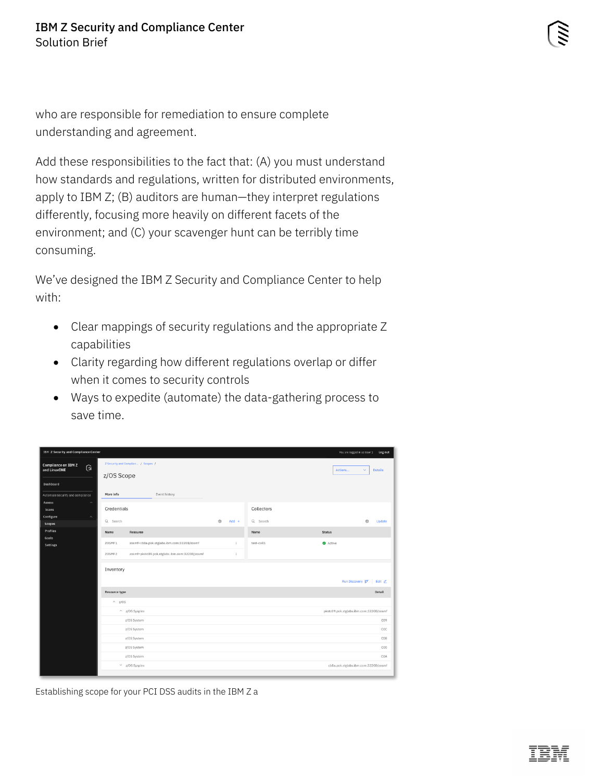who are responsible for remediation to ensure complete understanding and agreement.

Add these responsibilities to the fact that: (A) you must understand how standards and regulations, written for distributed environments, apply to IBM Z; (B) auditors are human—they interpret regulations differently, focusing more heavily on different facets of the environment; and (C) your scavenger hunt can be terribly time consuming.

We've designed the IBM Z Security and Compliance Center to help with:

- Clear mappings of security regulations and the appropriate Z capabilities
- Clarity regarding how different regulations overlap or differ when it comes to security controls
- Ways to expedite (automate) the data-gathering process to save time.

<span id="page-4-0"></span>

| <b>IBM Z Security and Compliance Center</b><br>You are logged in as User 1  Log out |               |                                               |                                 |            |                                         |  |  |  |
|-------------------------------------------------------------------------------------|---------------|-----------------------------------------------|---------------------------------|------------|-----------------------------------------|--|--|--|
| <b>Compliance on IBM Z</b><br>ি<br>and LinuxONE                                     | z/OS Scope    | Z Security and Complian / Scopes /            | Actions<br><b>Details</b><br>v. |            |                                         |  |  |  |
| Dashboard                                                                           |               |                                               |                                 |            |                                         |  |  |  |
| Automate security and compliance                                                    | More info     | Event history                                 |                                 |            |                                         |  |  |  |
| Assess<br>$\widehat{\phantom{a}}$                                                   |               |                                               |                                 |            |                                         |  |  |  |
| Scans                                                                               | Credentials   |                                               |                                 | Collectors |                                         |  |  |  |
| Configure<br>$\hat{\phantom{a}}$<br>Scopes                                          | Q Search      |                                               | ঞ্জি<br>$Add +$                 | Q Search   | ❀<br>Update                             |  |  |  |
| Profiles                                                                            | Name          | Resource                                      |                                 | Name       | <b>Status</b>                           |  |  |  |
| Goals                                                                               |               |                                               |                                 |            |                                         |  |  |  |
| Settings                                                                            | ZOSMF1        | zosmf=cb8a.pok.stglabs.ibm.com:32208/zosmf    | ÷                               | test-coll1 | Active                                  |  |  |  |
|                                                                                     | ZOSMF2        | zosmf=pkstc09.pok.stglabs.ibm.com:32208/zosmf | $\ddot{\ddot{}}$                |            |                                         |  |  |  |
|                                                                                     | Inventory     |                                               |                                 |            | Run Discovery <sup>27</sup><br>Edit 2   |  |  |  |
|                                                                                     | Resource type |                                               |                                 |            | Detail                                  |  |  |  |
|                                                                                     | $\wedge$ z/OS |                                               |                                 |            |                                         |  |  |  |
|                                                                                     |               | $\sim$ z/OS Sysplex                           |                                 |            | pkstc09.pok.stglabs.ibm.com:32208/zosmf |  |  |  |
|                                                                                     |               | z/OS System                                   |                                 |            | CO9                                     |  |  |  |
|                                                                                     |               | z/OS System                                   |                                 | COC        |                                         |  |  |  |
|                                                                                     |               | z/OS System                                   |                                 | COB        |                                         |  |  |  |
|                                                                                     |               | z/OS System                                   |                                 | C00        |                                         |  |  |  |
|                                                                                     |               | z/OS System                                   |                                 | COA        |                                         |  |  |  |
|                                                                                     |               | $\times$ z/OS Sysplex                         |                                 |            | cb8a.pok.stglabs.ibm.com:32208/zosmf    |  |  |  |
|                                                                                     |               |                                               |                                 |            |                                         |  |  |  |

Establishing scope for your PCI DSS audits in the IBM Z a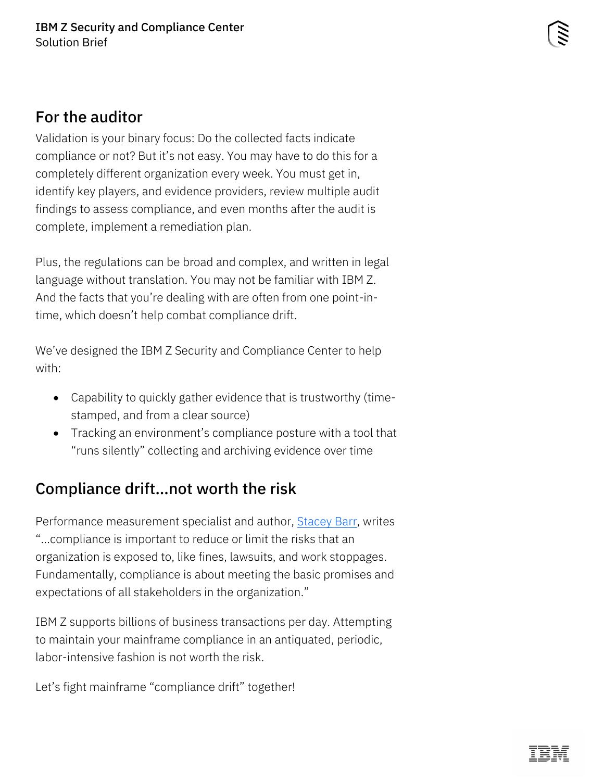#### For the auditor

Validation is your binary focus: Do the collected facts indicate compliance or not? But it's not easy. You may have to do this for a completely different organization every week. You must get in, identify key players, and evidence providers, review multiple audit findings to assess compliance, and even months after the audit is complete, implement a remediation plan.

Plus, the regulations can be broad and complex, and written in legal language without translation. You may not be familiar with IBM Z. And the facts that you're dealing with are often from one point-intime, which doesn't help combat compliance drift.

We've designed the IBM Z Security and Compliance Center to help with:

- Capability to quickly gather evidence that is trustworthy (timestamped, and from a clear source)
- Tracking an environment's compliance posture with a tool that "runs silently" collecting and archiving evidence over time

#### Compliance drift…not worth the risk

Performance measurement specialist and author, **Stacey Barr**, writes "…compliance is important to reduce or limit the risks that an organization is exposed to, like fines, lawsuits, and work stoppages. Fundamentally, compliance is about meeting the basic promises and expectations of all stakeholders in the organization."

IBM Z supports billions of business transactions per day. Attempting to maintain your mainframe compliance in an antiquated, periodic, labor-intensive fashion is not worth the risk.

Let's fight mainframe "compliance drift" together!